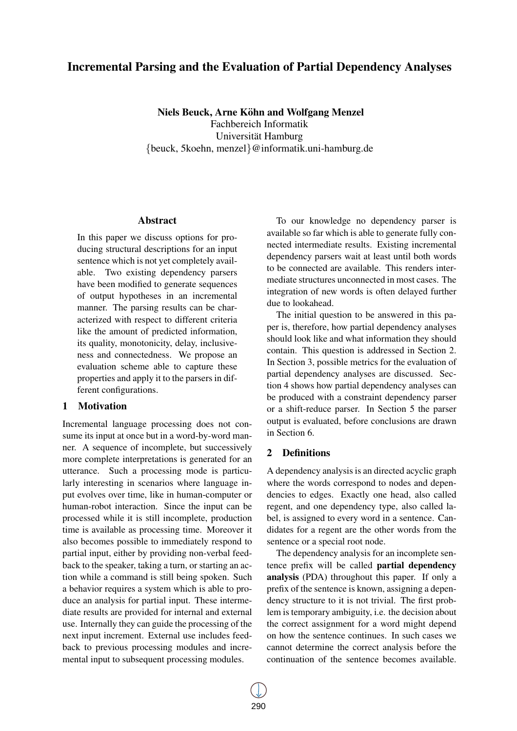# Incremental Parsing and the Evaluation of Partial Dependency Analyses

Niels Beuck, Arne Köhn and Wolfgang Menzel Fachbereich Informatik Universität Hamburg {beuck, 5koehn, menzel}@informatik.uni-hamburg.de

## Abstract

In this paper we discuss options for producing structural descriptions for an input sentence which is not yet completely available. Two existing dependency parsers have been modified to generate sequences of output hypotheses in an incremental manner. The parsing results can be characterized with respect to different criteria like the amount of predicted information, its quality, monotonicity, delay, inclusiveness and connectedness. We propose an evaluation scheme able to capture these properties and apply it to the parsers in different configurations.

## 1 Motivation

Incremental language processing does not consume its input at once but in a word-by-word manner. A sequence of incomplete, but successively more complete interpretations is generated for an utterance. Such a processing mode is particularly interesting in scenarios where language input evolves over time, like in human-computer or human-robot interaction. Since the input can be processed while it is still incomplete, production time is available as processing time. Moreover it also becomes possible to immediately respond to partial input, either by providing non-verbal feedback to the speaker, taking a turn, or starting an action while a command is still being spoken. Such a behavior requires a system which is able to produce an analysis for partial input. These intermediate results are provided for internal and external use. Internally they can guide the processing of the next input increment. External use includes feedback to previous processing modules and incremental input to subsequent processing modules.

To our knowledge no dependency parser is available so far which is able to generate fully connected intermediate results. Existing incremental dependency parsers wait at least until both words to be connected are available. This renders intermediate structures unconnected in most cases. The integration of new words is often delayed further due to lookahead.

The initial question to be answered in this paper is, therefore, how partial dependency analyses should look like and what information they should contain. This question is addressed in Section 2. In Section 3, possible metrics for the evaluation of partial dependency analyses are discussed. Section 4 shows how partial dependency analyses can be produced with a constraint dependency parser or a shift-reduce parser. In Section 5 the parser output is evaluated, before conclusions are drawn in Section 6.

## 2 Definitions

A dependency analysis is an directed acyclic graph where the words correspond to nodes and dependencies to edges. Exactly one head, also called regent, and one dependency type, also called label, is assigned to every word in a sentence. Candidates for a regent are the other words from the sentence or a special root node.

The dependency analysis for an incomplete sentence prefix will be called partial dependency analysis (PDA) throughout this paper. If only a prefix of the sentence is known, assigning a dependency structure to it is not trivial. The first problem is temporary ambiguity, i.e. the decision about the correct assignment for a word might depend on how the sentence continues. In such cases we cannot determine the correct analysis before the continuation of the sentence becomes available.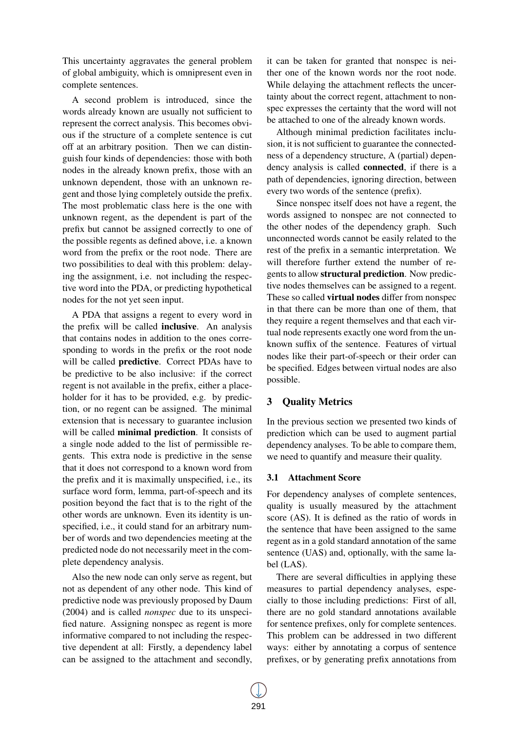This uncertainty aggravates the general problem of global ambiguity, which is omnipresent even in complete sentences.

A second problem is introduced, since the words already known are usually not sufficient to represent the correct analysis. This becomes obvious if the structure of a complete sentence is cut off at an arbitrary position. Then we can distinguish four kinds of dependencies: those with both nodes in the already known prefix, those with an unknown dependent, those with an unknown regent and those lying completely outside the prefix. The most problematic class here is the one with unknown regent, as the dependent is part of the prefix but cannot be assigned correctly to one of the possible regents as defined above, i.e. a known word from the prefix or the root node. There are two possibilities to deal with this problem: delaying the assignment, i.e. not including the respective word into the PDA, or predicting hypothetical nodes for the not yet seen input.

A PDA that assigns a regent to every word in the prefix will be called inclusive. An analysis that contains nodes in addition to the ones corresponding to words in the prefix or the root node will be called **predictive**. Correct PDAs have to be predictive to be also inclusive: if the correct regent is not available in the prefix, either a placeholder for it has to be provided, e.g. by prediction, or no regent can be assigned. The minimal extension that is necessary to guarantee inclusion will be called **minimal prediction**. It consists of a single node added to the list of permissible regents. This extra node is predictive in the sense that it does not correspond to a known word from the prefix and it is maximally unspecified, i.e., its surface word form, lemma, part-of-speech and its position beyond the fact that is to the right of the other words are unknown. Even its identity is unspecified, i.e., it could stand for an arbitrary number of words and two dependencies meeting at the predicted node do not necessarily meet in the complete dependency analysis.

Also the new node can only serve as regent, but not as dependent of any other node. This kind of predictive node was previously proposed by Daum (2004) and is called *nonspec* due to its unspecified nature. Assigning nonspec as regent is more informative compared to not including the respective dependent at all: Firstly, a dependency label can be assigned to the attachment and secondly,

it can be taken for granted that nonspec is neither one of the known words nor the root node. While delaying the attachment reflects the uncertainty about the correct regent, attachment to nonspec expresses the certainty that the word will not be attached to one of the already known words.

Although minimal prediction facilitates inclusion, it is not sufficient to guarantee the connectedness of a dependency structure, A (partial) dependency analysis is called connected, if there is a path of dependencies, ignoring direction, between every two words of the sentence (prefix).

Since nonspec itself does not have a regent, the words assigned to nonspec are not connected to the other nodes of the dependency graph. Such unconnected words cannot be easily related to the rest of the prefix in a semantic interpretation. We will therefore further extend the number of regents to allow structural prediction. Now predictive nodes themselves can be assigned to a regent. These so called virtual nodes differ from nonspec in that there can be more than one of them, that they require a regent themselves and that each virtual node represents exactly one word from the unknown suffix of the sentence. Features of virtual nodes like their part-of-speech or their order can be specified. Edges between virtual nodes are also possible.

## 3 Quality Metrics

In the previous section we presented two kinds of prediction which can be used to augment partial dependency analyses. To be able to compare them, we need to quantify and measure their quality.

#### 3.1 Attachment Score

For dependency analyses of complete sentences, quality is usually measured by the attachment score (AS). It is defined as the ratio of words in the sentence that have been assigned to the same regent as in a gold standard annotation of the same sentence (UAS) and, optionally, with the same label (LAS).

There are several difficulties in applying these measures to partial dependency analyses, especially to those including predictions: First of all, there are no gold standard annotations available for sentence prefixes, only for complete sentences. This problem can be addressed in two different ways: either by annotating a corpus of sentence prefixes, or by generating prefix annotations from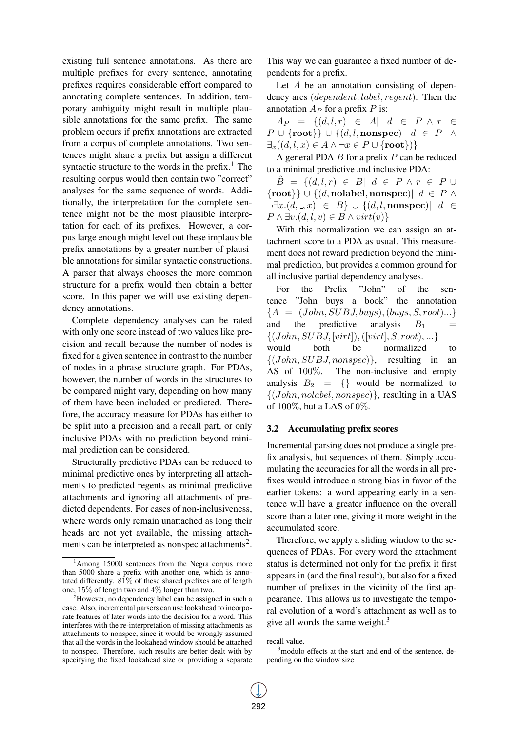existing full sentence annotations. As there are multiple prefixes for every sentence, annotating prefixes requires considerable effort compared to annotating complete sentences. In addition, temporary ambiguity might result in multiple plausible annotations for the same prefix. The same problem occurs if prefix annotations are extracted from a corpus of complete annotations. Two sentences might share a prefix but assign a different syntactic structure to the words in the prefix. $<sup>1</sup>$  The</sup> resulting corpus would then contain two "correct" analyses for the same sequence of words. Additionally, the interpretation for the complete sentence might not be the most plausible interpretation for each of its prefixes. However, a corpus large enough might level out these implausible prefix annotations by a greater number of plausible annotations for similar syntactic constructions. A parser that always chooses the more common structure for a prefix would then obtain a better score. In this paper we will use existing dependency annotations.

Complete dependency analyses can be rated with only one score instead of two values like precision and recall because the number of nodes is fixed for a given sentence in contrast to the number of nodes in a phrase structure graph. For PDAs, however, the number of words in the structures to be compared might vary, depending on how many of them have been included or predicted. Therefore, the accuracy measure for PDAs has either to be split into a precision and a recall part, or only inclusive PDAs with no prediction beyond minimal prediction can be considered.

Structurally predictive PDAs can be reduced to minimal predictive ones by interpreting all attachments to predicted regents as minimal predictive attachments and ignoring all attachments of predicted dependents. For cases of non-inclusiveness, where words only remain unattached as long their heads are not yet available, the missing attachments can be interpreted as nonspec attachments<sup>2</sup>.

This way we can guarantee a fixed number of dependents for a prefix.

Let A be an annotation consisting of dependency arcs (dependent, label, regent). Then the annotation  $A_P$  for a prefix P is:

 $A_P = \{(d, l, r) \in A | d \in P \land r \in$  $P \cup \{\text{root}\}\cup \{(d, l, \text{nonspec})| d \in P \ \wedge$  $\exists_x((d, l, x) \in A \land \neg x \in P \cup \{\text{root}\})$ 

A general PDA  $B$  for a prefix  $P$  can be reduced to a minimal predictive and inclusive PDA:

 $\hat{B} = \{ (d, l, r) \in B \vert d \in P \land r \in P \cup$  $\{root\}$  ∪  $\{(d, \text{nolabel}, \text{nonspec})\}\ d \in P \wedge$  $\neg \exists x.(d, \_, x) \in B$   $\cup$   $\{(d, l, \text{nonspec}) | d \in$  $P \wedge \exists v. (d, l, v) \in B \wedge virt(v)$ 

With this normalization we can assign an attachment score to a PDA as usual. This measurement does not reward prediction beyond the minimal prediction, but provides a common ground for all inclusive partial dependency analyses.

For the Prefix "John" of the sentence "John buys a book" the annotation  ${A = (John, SUBJ, buys), (buys, S, root)...}$ and the predictive analysis  $B_1$  =  $\{(John, SUBJ, [virt]), ([virt], S, root), ...\}$ would both be normalized to  $\{(John, SUBJ, nonspec)\},$  resulting in an AS of 100%. The non-inclusive and empty analysis  $B_2 = \{\}$  would be normalized to  $\{(John, nolabel, nonspec)\},$  resulting in a UAS of  $100\%$ , but a LAS of  $0\%$ .

#### 3.2 Accumulating prefix scores

Incremental parsing does not produce a single prefix analysis, but sequences of them. Simply accumulating the accuracies for all the words in all prefixes would introduce a strong bias in favor of the earlier tokens: a word appearing early in a sentence will have a greater influence on the overall score than a later one, giving it more weight in the accumulated score.

Therefore, we apply a sliding window to the sequences of PDAs. For every word the attachment status is determined not only for the prefix it first appears in (and the final result), but also for a fixed number of prefixes in the vicinity of the first appearance. This allows us to investigate the temporal evolution of a word's attachment as well as to give all words the same weight.<sup>3</sup>

 $1$ Among 15000 sentences from the Negra corpus more than 5000 share a prefix with another one, which is annotated differently. 81% of these shared prefixes are of length one, 15% of length two and 4% longer than two.

<sup>&</sup>lt;sup>2</sup>However, no dependency label can be assigned in such a case. Also, incremental parsers can use lookahead to incorporate features of later words into the decision for a word. This interferes with the re-interpretation of missing attachments as attachments to nonspec, since it would be wrongly assumed that all the words in the lookahead window should be attached to nonspec. Therefore, such results are better dealt with by specifying the fixed lookahead size or providing a separate

recall value.

<sup>&</sup>lt;sup>3</sup>modulo effects at the start and end of the sentence, depending on the window size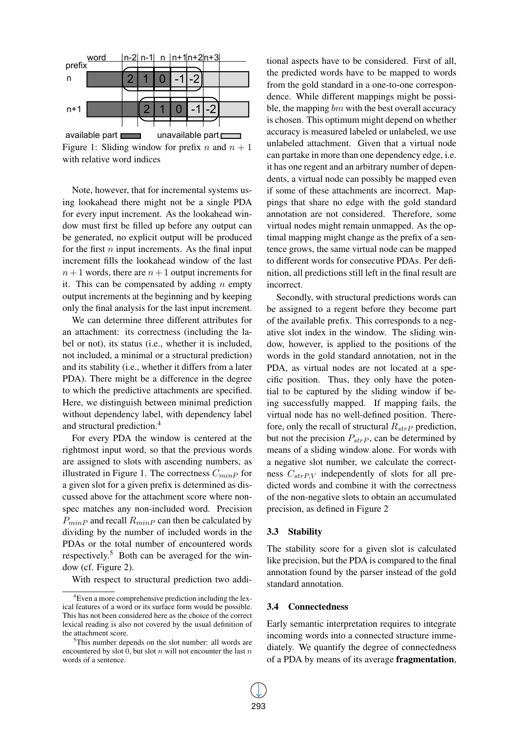

Figure 1: Sliding window for prefix n and  $n + 1$ with relative word indices

Note, however, that for incremental systems using lookahead there might not be a single PDA for every input increment. As the lookahead window must first be filled up before any output can be generated, no explicit output will be produced for the first  $n$  input increments. As the final input increment fills the lookahead window of the last  $n+1$  words, there are  $n+1$  output increments for it. This can be compensated by adding  $n$  empty output increments at the beginning and by keeping only the final analysis for the last input increment.

We can determine three different attributes for an attachment: its correctness (including the label or not), its status (i.e., whether it is included, not included, a minimal or a structural prediction) and its stability (i.e., whether it differs from a later PDA). There might be a difference in the degree to which the predictive attachments are specified. Here, we distinguish between minimal prediction without dependency label, with dependency label and structural prediction.<sup>4</sup>

For every PDA the window is centered at the rightmost input word, so that the previous words are assigned to slots with ascending numbers, as illustrated in Figure 1. The correctness  $C_{minP}$  for a given slot for a given prefix is determined as discussed above for the attachment score where nonspec matches any non-included word. Precision  $P_{minP}$  and recall  $R_{minP}$  can then be calculated by dividing by the number of included words in the PDAs or the total number of encountered words respectively.<sup>5</sup> Both can be averaged for the window (cf. Figure 2).

With respect to structural prediction two addi-

tional aspects have to be considered. First of all, the predicted words have to be mapped to words from the gold standard in a one-to-one correspondence. While different mappings might be possible, the mapping bm with the best overall accuracy is chosen. This optimum might depend on whether accuracy is measured labeled or unlabeled, we use unlabeled attachment. Given that a virtual node can partake in more than one dependency edge, i.e. it has one regent and an arbitrary number of dependents, a virtual node can possibly be mapped even if some of these attachments are incorrect. Mappings that share no edge with the gold standard annotation are not considered. Therefore, some virtual nodes might remain unmapped. As the optimal mapping might change as the prefix of a sentence grows, the same virtual node can be mapped to different words for consecutive PDAs. Per definition, all predictions still left in the final result are incorrect.

Secondly, with structural predictions words can be assigned to a regent before they become part of the available prefix. This corresponds to a negative slot index in the window. The sliding window, however, is applied to the positions of the words in the gold standard annotation, not in the PDA, as virtual nodes are not located at a specific position. Thus, they only have the potential to be captured by the sliding window if being successfully mapped. If mapping fails, the virtual node has no well-defined position. Therefore, only the recall of structural  $R_{strP}$  prediction, but not the precision  $P_{strP}$ , can be determined by means of a sliding window alone. For words with a negative slot number, we calculate the correctness  $C_{strPV}$  independently of slots for all predicted words and combine it with the correctness of the non-negative slots to obtain an accumulated precision, as defined in Figure 2

### 3.3 Stability

The stability score for a given slot is calculated like precision, but the PDA is compared to the final annotation found by the parser instead of the gold standard annotation.

#### 3.4 Connectedness

Early semantic interpretation requires to integrate incoming words into a connected structure immediately. We quantify the degree of connectedness of a PDA by means of its average fragmentation,

<sup>4</sup>Even a more comprehensive prediction including the lexical features of a word or its surface form would be possible. This has not been considered here as the choice of the correct lexical reading is also not covered by the usual definition of the attachment score.

<sup>5</sup>This number depends on the slot number: all words are encountered by slot  $\overline{0}$ , but slot n will not encounter the last n words of a sentence.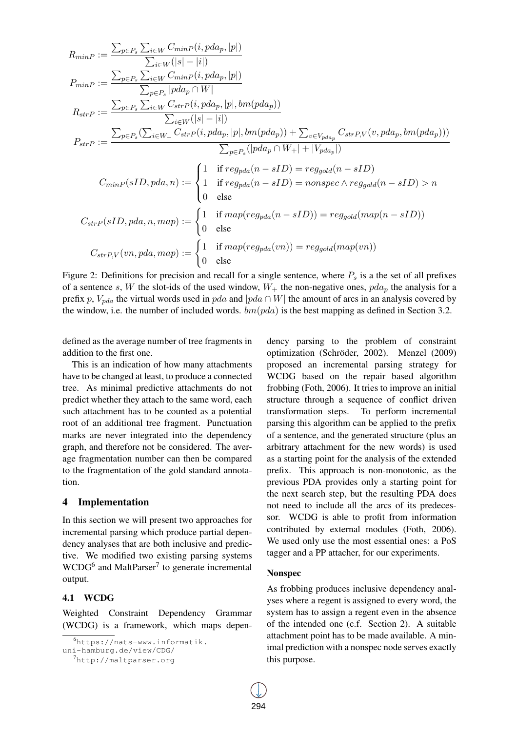$$
R_{minP} := \frac{\sum_{p \in P_s} \sum_{i \in W} C_{minP}(i, pda_p, |p|)}{\sum_{i \in W} (|s| - |i|)}
$$
  
\n
$$
P_{minP} := \frac{\sum_{p \in P_s} \sum_{i \in W} C_{minP}(i, pda_p, |p|)}{\sum_{p \in P_s} |pda_p \cap W|}
$$
  
\n
$$
R_{strP} := \frac{\sum_{p \in P_s} \sum_{i \in W} C_{strP}(i, pda_p, |p|, bm(pda_p))}{\sum_{i \in W} (|s| - |i|)}
$$
  
\n
$$
P_{strP} := \frac{\sum_{p \in P_s} (\sum_{i \in W_+} C_{strP}(i, pda_p, |p|, bm(pda_p)) + \sum_{v \in V_{pda_p}} C_{strP,V}(v, pda_p, bm(pda_p)))}{\sum_{p \in P_s} (|pda_p \cap W_+| + |V_{pda_p}|)}
$$
  
\n
$$
C_{minP}(sID, pda, n) := \begin{cases} 1 & \text{if } reg_{pda}(n - sID) = reg_{gold}(n - sID) \\ 1 & \text{if } reg_{pda}(n - sID) = nonspec \land reg_{gold}(n - sID) > n \\ 0 & \text{else} \end{cases}
$$
  
\n
$$
C_{strP}(sID, pda, n, map) := \begin{cases} 1 & \text{if } map(reg_{pda}(n - sID)) = reg_{gold}(map(n - sID)) \\ 0 & \text{else} \end{cases}
$$
  
\n
$$
C_{strP,V}(vn, pda, map) := \begin{cases} 1 & \text{if } map(reg_{pda}(vn)) = reg_{gold}(map(vn)) \\ 0 & \text{else} \end{cases}
$$

Figure 2: Definitions for precision and recall for a single sentence, where  $P_s$  is a the set of all prefixes of a sentence s, W the slot-ids of the used window,  $W_+$  the non-negative ones,  $pda_p$  the analysis for a prefix p,  $V_{pda}$  the virtual words used in pda and |pda ∩ W| the amount of arcs in an analysis covered by the window, i.e. the number of included words.  $bm(pda)$  is the best mapping as defined in Section 3.2.

defined as the average number of tree fragments in addition to the first one.

This is an indication of how many attachments have to be changed at least, to produce a connected tree. As minimal predictive attachments do not predict whether they attach to the same word, each such attachment has to be counted as a potential root of an additional tree fragment. Punctuation marks are never integrated into the dependency graph, and therefore not be considered. The average fragmentation number can then be compared to the fragmentation of the gold standard annotation.

## 4 Implementation

In this section we will present two approaches for incremental parsing which produce partial dependency analyses that are both inclusive and predictive. We modified two existing parsing systems  $WCDG<sup>6</sup>$  and MaltParser<sup>7</sup> to generate incremental output.

#### 4.1 WCDG

Weighted Constraint Dependency Grammar (WCDG) is a framework, which maps depen-

dency parsing to the problem of constraint optimization (Schröder, 2002). Menzel (2009) proposed an incremental parsing strategy for WCDG based on the repair based algorithm frobbing (Foth, 2006). It tries to improve an initial structure through a sequence of conflict driven transformation steps. To perform incremental parsing this algorithm can be applied to the prefix of a sentence, and the generated structure (plus an arbitrary attachment for the new words) is used as a starting point for the analysis of the extended prefix. This approach is non-monotonic, as the previous PDA provides only a starting point for the next search step, but the resulting PDA does not need to include all the arcs of its predecessor. WCDG is able to profit from information contributed by external modules (Foth, 2006). We used only use the most essential ones: a PoS tagger and a PP attacher, for our experiments.

## Nonspec

As frobbing produces inclusive dependency analyses where a regent is assigned to every word, the system has to assign a regent even in the absence of the intended one (c.f. Section 2). A suitable attachment point has to be made available. A minimal prediction with a nonspec node serves exactly this purpose.

<sup>6</sup>https://nats-www.informatik.

uni-hamburg.de/view/CDG/

<sup>7</sup>http://maltparser.org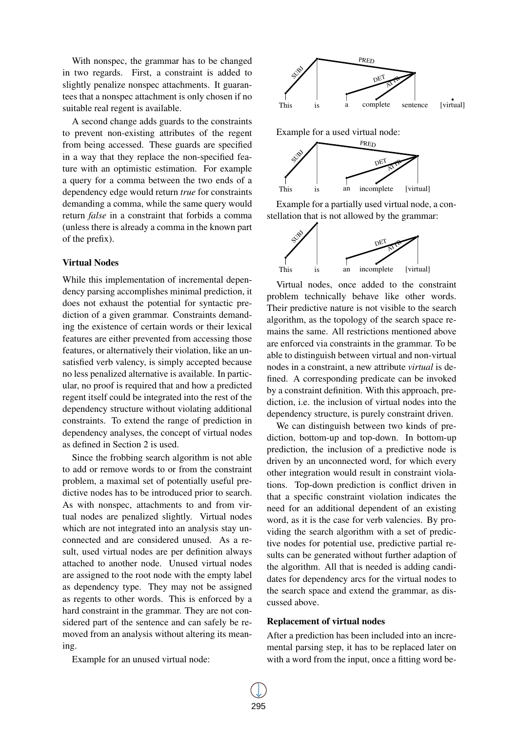With nonspec, the grammar has to be changed in two regards. First, a constraint is added to slightly penalize nonspec attachments. It guarantees that a nonspec attachment is only chosen if no suitable real regent is available.

A second change adds guards to the constraints to prevent non-existing attributes of the regent from being accessed. These guards are specified in a way that they replace the non-specified feature with an optimistic estimation. For example a query for a comma between the two ends of a dependency edge would return *true* for constraints demanding a comma, while the same query would return *false* in a constraint that forbids a comma (unless there is already a comma in the known part of the prefix).

### Virtual Nodes

While this implementation of incremental dependency parsing accomplishes minimal prediction, it does not exhaust the potential for syntactic prediction of a given grammar. Constraints demanding the existence of certain words or their lexical features are either prevented from accessing those features, or alternatively their violation, like an unsatisfied verb valency, is simply accepted because no less penalized alternative is available. In particular, no proof is required that and how a predicted regent itself could be integrated into the rest of the dependency structure without violating additional constraints. To extend the range of prediction in dependency analyses, the concept of virtual nodes as defined in Section 2 is used.

Since the frobbing search algorithm is not able to add or remove words to or from the constraint problem, a maximal set of potentially useful predictive nodes has to be introduced prior to search. As with nonspec, attachments to and from virtual nodes are penalized slightly. Virtual nodes which are not integrated into an analysis stay unconnected and are considered unused. As a result, used virtual nodes are per definition always attached to another node. Unused virtual nodes are assigned to the root node with the empty label as dependency type. They may not be assigned as regents to other words. This is enforced by a hard constraint in the grammar. They are not considered part of the sentence and can safely be removed from an analysis without altering its meaning.

Example for an unused virtual node:



Example for a used virtual node:



Example for a partially used virtual node, a constellation that is not allowed by the grammar:



Virtual nodes, once added to the constraint problem technically behave like other words. Their predictive nature is not visible to the search algorithm, as the topology of the search space remains the same. All restrictions mentioned above are enforced via constraints in the grammar. To be able to distinguish between virtual and non-virtual nodes in a constraint, a new attribute *virtual* is defined. A corresponding predicate can be invoked by a constraint definition. With this approach, prediction, i.e. the inclusion of virtual nodes into the dependency structure, is purely constraint driven.

We can distinguish between two kinds of prediction, bottom-up and top-down. In bottom-up prediction, the inclusion of a predictive node is driven by an unconnected word, for which every other integration would result in constraint violations. Top-down prediction is conflict driven in that a specific constraint violation indicates the need for an additional dependent of an existing word, as it is the case for verb valencies. By providing the search algorithm with a set of predictive nodes for potential use, predictive partial results can be generated without further adaption of the algorithm. All that is needed is adding candidates for dependency arcs for the virtual nodes to the search space and extend the grammar, as discussed above.

## Replacement of virtual nodes

After a prediction has been included into an incremental parsing step, it has to be replaced later on with a word from the input, once a fitting word be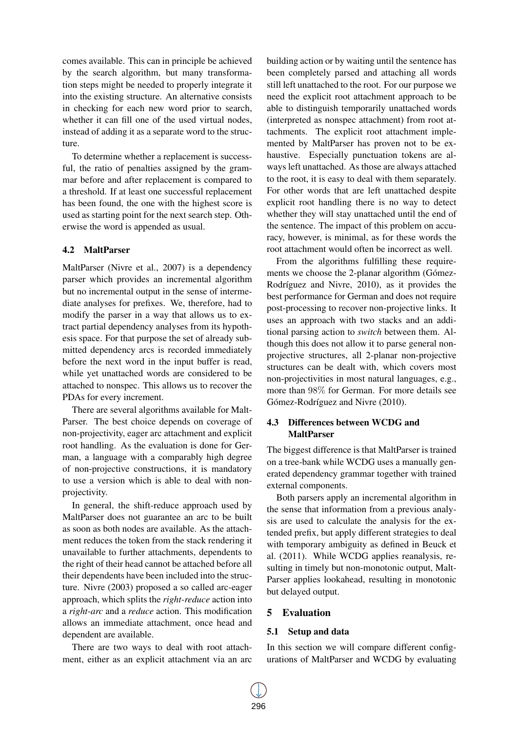comes available. This can in principle be achieved by the search algorithm, but many transformation steps might be needed to properly integrate it into the existing structure. An alternative consists in checking for each new word prior to search, whether it can fill one of the used virtual nodes, instead of adding it as a separate word to the structure.

To determine whether a replacement is successful, the ratio of penalties assigned by the grammar before and after replacement is compared to a threshold. If at least one successful replacement has been found, the one with the highest score is used as starting point for the next search step. Otherwise the word is appended as usual.

### 4.2 MaltParser

MaltParser (Nivre et al., 2007) is a dependency parser which provides an incremental algorithm but no incremental output in the sense of intermediate analyses for prefixes. We, therefore, had to modify the parser in a way that allows us to extract partial dependency analyses from its hypothesis space. For that purpose the set of already submitted dependency arcs is recorded immediately before the next word in the input buffer is read, while yet unattached words are considered to be attached to nonspec. This allows us to recover the PDAs for every increment.

There are several algorithms available for Malt-Parser. The best choice depends on coverage of non-projectivity, eager arc attachment and explicit root handling. As the evaluation is done for German, a language with a comparably high degree of non-projective constructions, it is mandatory to use a version which is able to deal with nonprojectivity.

In general, the shift-reduce approach used by MaltParser does not guarantee an arc to be built as soon as both nodes are available. As the attachment reduces the token from the stack rendering it unavailable to further attachments, dependents to the right of their head cannot be attached before all their dependents have been included into the structure. Nivre (2003) proposed a so called arc-eager approach, which splits the *right-reduce* action into a *right-arc* and a *reduce* action. This modification allows an immediate attachment, once head and dependent are available.

There are two ways to deal with root attachment, either as an explicit attachment via an arc building action or by waiting until the sentence has been completely parsed and attaching all words still left unattached to the root. For our purpose we need the explicit root attachment approach to be able to distinguish temporarily unattached words (interpreted as nonspec attachment) from root attachments. The explicit root attachment implemented by MaltParser has proven not to be exhaustive. Especially punctuation tokens are always left unattached. As those are always attached to the root, it is easy to deal with them separately. For other words that are left unattached despite explicit root handling there is no way to detect whether they will stay unattached until the end of the sentence. The impact of this problem on accuracy, however, is minimal, as for these words the root attachment would often be incorrect as well.

From the algorithms fulfilling these requirements we choose the 2-planar algorithm (Gómez-Rodríguez and Nivre, 2010), as it provides the best performance for German and does not require post-processing to recover non-projective links. It uses an approach with two stacks and an additional parsing action to *switch* between them. Although this does not allow it to parse general nonprojective structures, all 2-planar non-projective structures can be dealt with, which covers most non-projectivities in most natural languages, e.g., more than 98% for German. For more details see Gómez-Rodríguez and Nivre (2010).

## 4.3 Differences between WCDG and **MaltParser**

The biggest difference is that MaltParser is trained on a tree-bank while WCDG uses a manually generated dependency grammar together with trained external components.

Both parsers apply an incremental algorithm in the sense that information from a previous analysis are used to calculate the analysis for the extended prefix, but apply different strategies to deal with temporary ambiguity as defined in Beuck et al. (2011). While WCDG applies reanalysis, resulting in timely but non-monotonic output, Malt-Parser applies lookahead, resulting in monotonic but delayed output.

## 5 Evaluation

## 5.1 Setup and data

In this section we will compare different configurations of MaltParser and WCDG by evaluating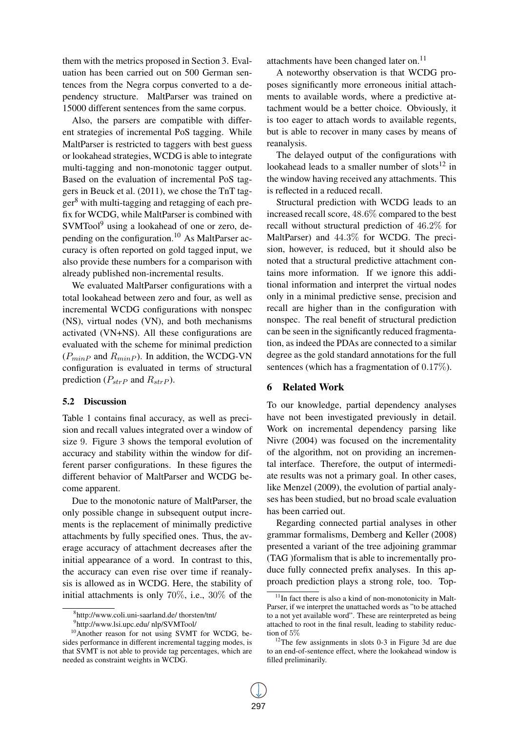them with the metrics proposed in Section 3. Evaluation has been carried out on 500 German sentences from the Negra corpus converted to a dependency structure. MaltParser was trained on 15000 different sentences from the same corpus.

Also, the parsers are compatible with different strategies of incremental PoS tagging. While MaltParser is restricted to taggers with best guess or lookahead strategies, WCDG is able to integrate multi-tagging and non-monotonic tagger output. Based on the evaluation of incremental PoS taggers in Beuck et al. (2011), we chose the TnT tag $ger<sup>8</sup>$  with multi-tagging and retagging of each prefix for WCDG, while MaltParser is combined with SVMTool<sup>9</sup> using a lookahead of one or zero, depending on the configuration.<sup>10</sup> As MaltParser accuracy is often reported on gold tagged input, we also provide these numbers for a comparison with already published non-incremental results.

We evaluated MaltParser configurations with a total lookahead between zero and four, as well as incremental WCDG configurations with nonspec (NS), virtual nodes (VN), and both mechanisms activated (VN+NS). All these configurations are evaluated with the scheme for minimal prediction  $(P_{minP}$  and  $R_{minP}$ ). In addition, the WCDG-VN configuration is evaluated in terms of structural prediction ( $P_{strP}$  and  $R_{strP}$ ).

#### 5.2 Discussion

Table 1 contains final accuracy, as well as precision and recall values integrated over a window of size 9. Figure 3 shows the temporal evolution of accuracy and stability within the window for different parser configurations. In these figures the different behavior of MaltParser and WCDG become apparent.

Due to the monotonic nature of MaltParser, the only possible change in subsequent output increments is the replacement of minimally predictive attachments by fully specified ones. Thus, the average accuracy of attachment decreases after the initial appearance of a word. In contrast to this, the accuracy can even rise over time if reanalysis is allowed as in WCDG. Here, the stability of initial attachments is only 70%, i.e., 30% of the

attachments have been changed later on.<sup>11</sup>

A noteworthy observation is that WCDG proposes significantly more erroneous initial attachments to available words, where a predictive attachment would be a better choice. Obviously, it is too eager to attach words to available regents, but is able to recover in many cases by means of reanalysis.

The delayed output of the configurations with lookahead leads to a smaller number of slots $^{12}$  in the window having received any attachments. This is reflected in a reduced recall.

Structural prediction with WCDG leads to an increased recall score, 48.6% compared to the best recall without structural prediction of 46.2% for MaltParser) and 44.3% for WCDG. The precision, however, is reduced, but it should also be noted that a structural predictive attachment contains more information. If we ignore this additional information and interpret the virtual nodes only in a minimal predictive sense, precision and recall are higher than in the configuration with nonspec. The real benefit of structural prediction can be seen in the significantly reduced fragmentation, as indeed the PDAs are connected to a similar degree as the gold standard annotations for the full sentences (which has a fragmentation of 0.17%).

#### 6 Related Work

To our knowledge, partial dependency analyses have not been investigated previously in detail. Work on incremental dependency parsing like Nivre (2004) was focused on the incrementality of the algorithm, not on providing an incremental interface. Therefore, the output of intermediate results was not a primary goal. In other cases, like Menzel (2009), the evolution of partial analyses has been studied, but no broad scale evaluation has been carried out.

Regarding connected partial analyses in other grammar formalisms, Demberg and Keller (2008) presented a variant of the tree adjoining grammar (TAG )formalism that is able to incrementally produce fully connected prefix analyses. In this approach prediction plays a strong role, too. Top-

<sup>8</sup> http://www.coli.uni-saarland.de/ thorsten/tnt/

<sup>9</sup> http://www.lsi.upc.edu/ nlp/SVMTool/

<sup>&</sup>lt;sup>10</sup>Another reason for not using SVMT for WCDG, besides performance in different incremental tagging modes, is that SVMT is not able to provide tag percentages, which are needed as constraint weights in WCDG.

 $11$ In fact there is also a kind of non-monotonicity in Malt-Parser, if we interpret the unattached words as "to be attached to a not yet available word". These are reinterpreted as being attached to root in the final result, leading to stability reduction of 5%

<sup>&</sup>lt;sup>12</sup>The few assignments in slots 0-3 in Figure 3d are due to an end-of-sentence effect, where the lookahead window is filled preliminarily.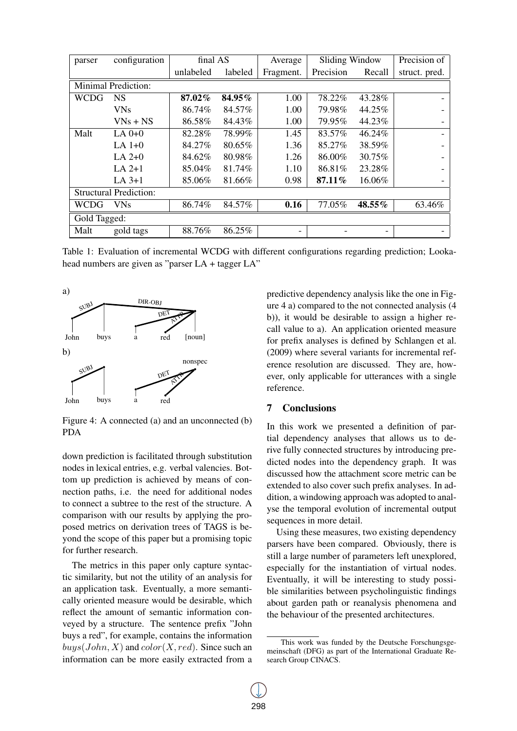| parser                        | configuration | final AS  |         | Average   | Sliding Window |                          | Precision of  |
|-------------------------------|---------------|-----------|---------|-----------|----------------|--------------------------|---------------|
|                               |               | unlabeled | labeled | Fragment. | Precision      | Recall                   | struct. pred. |
| <b>Minimal Prediction:</b>    |               |           |         |           |                |                          |               |
| <b>WCDG</b>                   | <b>NS</b>     | 87.02%    | 84.95%  | 1.00      | 78.22%         | 43.28%                   |               |
|                               | <b>VNs</b>    | 86.74%    | 84.57%  | 1.00      | 79.98%         | 44.25%                   |               |
|                               | $VNs + NS$    | 86.58%    | 84.43%  | 1.00      | 79.95%         | 44.23%                   |               |
| Malt                          | $LA$ $0+0$    | 82.28%    | 78.99%  | 1.45      | 83.57%         | 46.24%                   |               |
|                               | LA $1+0$      | 84.27%    | 80.65%  | 1.36      | 85.27%         | 38.59%                   |               |
|                               | $LA 2+0$      | 84.62%    | 80.98%  | 1.26      | 86.00%         | 30.75%                   |               |
|                               | $LA 2+1$      | 85.04%    | 81.74%  | 1.10      | 86.81%         | 23.28%                   |               |
|                               | $LA$ 3+1      | 85.06%    | 81.66%  | 0.98      | 87.11%         | 16.06%                   |               |
| <b>Structural Prediction:</b> |               |           |         |           |                |                          |               |
| <b>WCDG</b>                   | <b>VNs</b>    | 86.74%    | 84.57%  | 0.16      | 77.05%         | 48.55%                   | 63.46%        |
| Gold Tagged:                  |               |           |         |           |                |                          |               |
| Malt                          | gold tags     | 88.76%    | 86.25%  |           |                | $\overline{\phantom{a}}$ |               |

Table 1: Evaluation of incremental WCDG with different configurations regarding prediction; Lookahead numbers are given as "parser LA + tagger LA"



Figure 4: A connected (a) and an unconnected (b) PDA

down prediction is facilitated through substitution nodes in lexical entries, e.g. verbal valencies. Bottom up prediction is achieved by means of connection paths, i.e. the need for additional nodes to connect a subtree to the rest of the structure. A comparison with our results by applying the proposed metrics on derivation trees of TAGS is beyond the scope of this paper but a promising topic for further research.

The metrics in this paper only capture syntactic similarity, but not the utility of an analysis for an application task. Eventually, a more semantically oriented measure would be desirable, which reflect the amount of semantic information conveyed by a structure. The sentence prefix "John buys a red", for example, contains the information  $buys(John, X)$  and  $color(X, red)$ . Since such an information can be more easily extracted from a

predictive dependency analysis like the one in Figure 4 a) compared to the not connected analysis (4 b)), it would be desirable to assign a higher recall value to a). An application oriented measure for prefix analyses is defined by Schlangen et al. (2009) where several variants for incremental reference resolution are discussed. They are, however, only applicable for utterances with a single reference.

## 7 Conclusions

In this work we presented a definition of partial dependency analyses that allows us to derive fully connected structures by introducing predicted nodes into the dependency graph. It was discussed how the attachment score metric can be extended to also cover such prefix analyses. In addition, a windowing approach was adopted to analyse the temporal evolution of incremental output sequences in more detail.

Using these measures, two existing dependency parsers have been compared. Obviously, there is still a large number of parameters left unexplored, especially for the instantiation of virtual nodes. Eventually, it will be interesting to study possible similarities between psycholinguistic findings about garden path or reanalysis phenomena and the behaviour of the presented architectures.

This work was funded by the Deutsche Forschungsgemeinschaft (DFG) as part of the International Graduate Research Group CINACS.